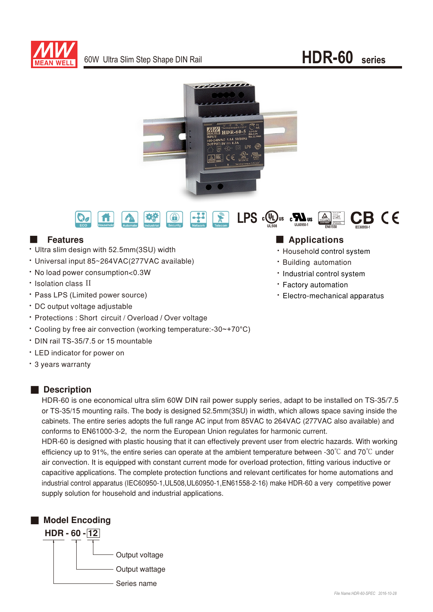

# 60W Ultra Slim Step Shape DIN Rail **HDR-60 series**





### **E** Features

- Ultra slim design with 52.5mm(3SU) width
- · Universal input 85~264VAC(277VAC available)
- No load power consumption<0.3W
- Isolation class II
- Pass LPS (Limited power source)
- · DC output voltage adjustable
- Protections : Short circuit / Overload / Over voltage
- Cooling by free air convection (working temperature:-30~+70°C)
- ‧DIN rail TS-35/7.5 or 15 mountable
- ‧ED indicator for power on
- 3 years warranty

### ■ Description

HDR-60 is one economical ultra slim 60W DIN rail power supply series, adapt to be installed on TS-35/7.5 or TS-35/15 mounting rails. The body is designed 52.5mm(3SU) in width, which allows space saving inside the cabinets. The entire series adopts the full range AC input from 85VAC to 264VAC (277VAC also available) and conforms to EN61000-3-2, the norm the European Union regulates for harmonic current.

HDR-60 is designed with plastic housing that it can effectively prevent user from electric hazards. With working efficiency up to 91%, the entire series can operate at the ambient temperature between -30 $^{\circ}$ C and 70 $^{\circ}$ C under air convection. It is equipped with constant current mode for overload protection, fitting various inductive or capacitive applications. The complete protection functions and relevant certificates for home automations and industrial control apparatus (IEC60950-1, UL508, UL60950-1, EN61558-2-16) make HDR-60 a very competitive power supply solution for household and industrial applications.



## ■ Applications

- · Household control system
- **· Building automation**
- Industrial control system
- Factory automation
- Electro-mechanical apparatus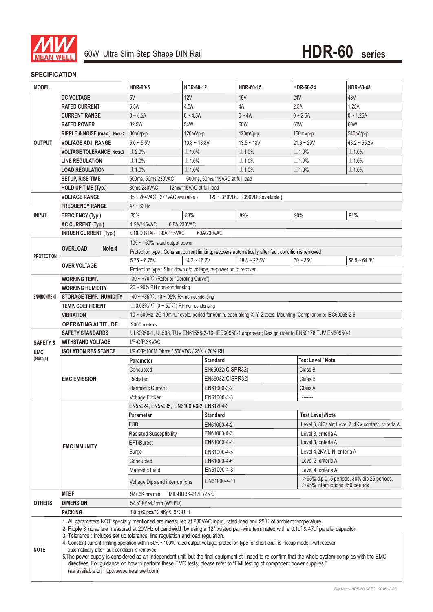

#### **SPECIFICATION**

| <b>MODEL</b>        |                                                                                                                                                                                                                                                                                                                                                                                                                                                                                                                                                                                                                                                                                                                                                                                                                                                                                         | <b>HDR-60-5</b>                                                                                               | HDR-60-12                                                       | HDR-60-15                                                                          | HDR-60-24                                          | HDR-60-48         |  |
|---------------------|-----------------------------------------------------------------------------------------------------------------------------------------------------------------------------------------------------------------------------------------------------------------------------------------------------------------------------------------------------------------------------------------------------------------------------------------------------------------------------------------------------------------------------------------------------------------------------------------------------------------------------------------------------------------------------------------------------------------------------------------------------------------------------------------------------------------------------------------------------------------------------------------|---------------------------------------------------------------------------------------------------------------|-----------------------------------------------------------------|------------------------------------------------------------------------------------|----------------------------------------------------|-------------------|--|
|                     | <b>DC VOLTAGE</b>                                                                                                                                                                                                                                                                                                                                                                                                                                                                                                                                                                                                                                                                                                                                                                                                                                                                       | 5V                                                                                                            | 12V                                                             | <b>15V</b>                                                                         | <b>24V</b>                                         | 48V               |  |
|                     | <b>RATED CURRENT</b>                                                                                                                                                                                                                                                                                                                                                                                                                                                                                                                                                                                                                                                                                                                                                                                                                                                                    | 6.5A                                                                                                          | 4.5A                                                            | 4A                                                                                 | 2.5A                                               | 1.25A             |  |
|                     | <b>CURRENT RANGE</b>                                                                                                                                                                                                                                                                                                                                                                                                                                                                                                                                                                                                                                                                                                                                                                                                                                                                    | $0 - 6.5A$                                                                                                    | $0 - 4.5A$                                                      | $0 - 4A$                                                                           | $0 - 2.5A$                                         | $0 - 1.25A$       |  |
|                     | <b>RATED POWER</b>                                                                                                                                                                                                                                                                                                                                                                                                                                                                                                                                                                                                                                                                                                                                                                                                                                                                      | 32.5W                                                                                                         | 54W                                                             | 60W                                                                                | 60W                                                | 60W               |  |
| <b>OUTPUT</b>       | RIPPLE & NOISE (max.) Note.2                                                                                                                                                                                                                                                                                                                                                                                                                                                                                                                                                                                                                                                                                                                                                                                                                                                            | 80mVp-p                                                                                                       | 120mVp-p                                                        | 120mVp-p                                                                           | 150mVp-p                                           | 240mVp-p          |  |
|                     | VOLTAGE ADJ. RANGE                                                                                                                                                                                                                                                                                                                                                                                                                                                                                                                                                                                                                                                                                                                                                                                                                                                                      | $5.0 - 5.5V$                                                                                                  | $10.8 - 13.8V$                                                  | $13.5 - 18V$                                                                       | $21.6 - 29V$                                       | $43.2 \sim 55.2V$ |  |
|                     | <b>VOLTAGE TOLERANCE Note.3</b>                                                                                                                                                                                                                                                                                                                                                                                                                                                                                                                                                                                                                                                                                                                                                                                                                                                         | ±2.0%                                                                                                         | ±1.0%                                                           | ±1.0%                                                                              | ±1.0%                                              | ±1.0%             |  |
|                     | <b>LINE REGULATION</b>                                                                                                                                                                                                                                                                                                                                                                                                                                                                                                                                                                                                                                                                                                                                                                                                                                                                  | ±1.0%                                                                                                         | ±1.0%                                                           | ±1.0%                                                                              | ±1.0%                                              | ±1.0%             |  |
|                     | <b>LOAD REGULATION</b>                                                                                                                                                                                                                                                                                                                                                                                                                                                                                                                                                                                                                                                                                                                                                                                                                                                                  | ±1.0%                                                                                                         | ±1.0%                                                           | ±1.0%                                                                              | ±1.0%                                              | ±1.0%             |  |
|                     | <b>SETUP, RISE TIME</b>                                                                                                                                                                                                                                                                                                                                                                                                                                                                                                                                                                                                                                                                                                                                                                                                                                                                 | 500ms, 50ms/115VAC at full load<br>500ms, 50ms/230VAC                                                         |                                                                 |                                                                                    |                                                    |                   |  |
|                     | HOLD UP TIME (Typ.)                                                                                                                                                                                                                                                                                                                                                                                                                                                                                                                                                                                                                                                                                                                                                                                                                                                                     | 30ms/230VAC<br>12ms/115VAC at full load                                                                       |                                                                 |                                                                                    |                                                    |                   |  |
|                     | <b>VOLTAGE RANGE</b>                                                                                                                                                                                                                                                                                                                                                                                                                                                                                                                                                                                                                                                                                                                                                                                                                                                                    | 85~264VAC (277VAC available)<br>120~370VDC (390VDC available)                                                 |                                                                 |                                                                                    |                                                    |                   |  |
| <b>INPUT</b>        | <b>FREQUENCY RANGE</b>                                                                                                                                                                                                                                                                                                                                                                                                                                                                                                                                                                                                                                                                                                                                                                                                                                                                  | $47 \sim 63$ Hz                                                                                               |                                                                 |                                                                                    |                                                    |                   |  |
|                     | <b>EFFICIENCY (Typ.)</b>                                                                                                                                                                                                                                                                                                                                                                                                                                                                                                                                                                                                                                                                                                                                                                                                                                                                | 85%<br>88%<br>89%                                                                                             |                                                                 | 90%                                                                                | 91%                                                |                   |  |
|                     | <b>AC CURRENT (Typ.)</b>                                                                                                                                                                                                                                                                                                                                                                                                                                                                                                                                                                                                                                                                                                                                                                                                                                                                | 1.2A/115VAC                                                                                                   | 0.8A/230VAC                                                     |                                                                                    |                                                    |                   |  |
|                     | <b>INRUSH CURRENT (Typ.)</b>                                                                                                                                                                                                                                                                                                                                                                                                                                                                                                                                                                                                                                                                                                                                                                                                                                                            | COLD START 30A/115VAC<br>60A/230VAC                                                                           |                                                                 |                                                                                    |                                                    |                   |  |
|                     |                                                                                                                                                                                                                                                                                                                                                                                                                                                                                                                                                                                                                                                                                                                                                                                                                                                                                         | $105 \sim 160\%$ rated output power                                                                           |                                                                 |                                                                                    |                                                    |                   |  |
|                     | Note.4<br><b>OVERLOAD</b>                                                                                                                                                                                                                                                                                                                                                                                                                                                                                                                                                                                                                                                                                                                                                                                                                                                               | Protection type : Constant current limiting, recovers automatically after fault condition is removed          |                                                                 |                                                                                    |                                                    |                   |  |
| <b>PROTECTION</b>   | <b>OVER VOLTAGE</b>                                                                                                                                                                                                                                                                                                                                                                                                                                                                                                                                                                                                                                                                                                                                                                                                                                                                     | $5.75 - 6.75V$                                                                                                | $14.2 - 16.2V$                                                  | $18.8 \sim 22.5V$                                                                  | $30 - 36V$                                         | $56.5 - 64.8V$    |  |
|                     |                                                                                                                                                                                                                                                                                                                                                                                                                                                                                                                                                                                                                                                                                                                                                                                                                                                                                         |                                                                                                               | Protection type : Shut down o/p voltage, re-power on to recover |                                                                                    |                                                    |                   |  |
|                     | <b>WORKING TEMP.</b>                                                                                                                                                                                                                                                                                                                                                                                                                                                                                                                                                                                                                                                                                                                                                                                                                                                                    | -30 ~ +70 $^{\circ}$ C (Refer to "Derating Curve")                                                            |                                                                 |                                                                                    |                                                    |                   |  |
| <b>ENVIRONMENT</b>  | <b>WORKING HUMIDITY</b>                                                                                                                                                                                                                                                                                                                                                                                                                                                                                                                                                                                                                                                                                                                                                                                                                                                                 | 20~90% RH non-condensing                                                                                      |                                                                 |                                                                                    |                                                    |                   |  |
|                     | <b>STORAGE TEMP., HUMIDITY</b>                                                                                                                                                                                                                                                                                                                                                                                                                                                                                                                                                                                                                                                                                                                                                                                                                                                          | -40 ~ +85°C, 10 ~ 95% RH non-condensing                                                                       |                                                                 |                                                                                    |                                                    |                   |  |
|                     | <b>TEMP. COEFFICIENT</b>                                                                                                                                                                                                                                                                                                                                                                                                                                                                                                                                                                                                                                                                                                                                                                                                                                                                | $\pm$ 0.03%/°C (0 ~ 50°C) RH non-condensing                                                                   |                                                                 |                                                                                    |                                                    |                   |  |
|                     | <b>VIBRATION</b>                                                                                                                                                                                                                                                                                                                                                                                                                                                                                                                                                                                                                                                                                                                                                                                                                                                                        | 10 ~ 500Hz, 2G 10min./1cycle, period for 60min. each along X, Y, Z axes; Mounting: Compliance to IEC60068-2-6 |                                                                 |                                                                                    |                                                    |                   |  |
|                     | <b>OPERATING ALTITUDE</b>                                                                                                                                                                                                                                                                                                                                                                                                                                                                                                                                                                                                                                                                                                                                                                                                                                                               | 2000 meters                                                                                                   |                                                                 |                                                                                    |                                                    |                   |  |
|                     | <b>SAFETY STANDARDS</b>                                                                                                                                                                                                                                                                                                                                                                                                                                                                                                                                                                                                                                                                                                                                                                                                                                                                 | UL60950-1, UL508, TUV EN61558-2-16, IEC60950-1 approved; Design refer to EN50178, TUV EN60950-1               |                                                                 |                                                                                    |                                                    |                   |  |
| <b>SAFETY &amp;</b> | <b>WITHSTAND VOLTAGE</b>                                                                                                                                                                                                                                                                                                                                                                                                                                                                                                                                                                                                                                                                                                                                                                                                                                                                | I/P-O/P:3KVAC                                                                                                 |                                                                 |                                                                                    |                                                    |                   |  |
| <b>EMC</b>          | <b>ISOLATION RESISTANCE</b>                                                                                                                                                                                                                                                                                                                                                                                                                                                                                                                                                                                                                                                                                                                                                                                                                                                             | I/P-O/P:100M Ohms / 500VDC / 25 °C / 70% RH                                                                   |                                                                 |                                                                                    |                                                    |                   |  |
| (Note 5)            | <b>EMC EMISSION</b>                                                                                                                                                                                                                                                                                                                                                                                                                                                                                                                                                                                                                                                                                                                                                                                                                                                                     | Parameter                                                                                                     | <b>Standard</b>                                                 | <b>Test Level / Note</b>                                                           |                                                    |                   |  |
|                     |                                                                                                                                                                                                                                                                                                                                                                                                                                                                                                                                                                                                                                                                                                                                                                                                                                                                                         | Conducted                                                                                                     | EN55032(CISPR32)                                                |                                                                                    | Class B                                            |                   |  |
|                     |                                                                                                                                                                                                                                                                                                                                                                                                                                                                                                                                                                                                                                                                                                                                                                                                                                                                                         | Radiated                                                                                                      | EN55032(CISPR32)                                                |                                                                                    | Class B                                            |                   |  |
|                     |                                                                                                                                                                                                                                                                                                                                                                                                                                                                                                                                                                                                                                                                                                                                                                                                                                                                                         | Harmonic Current                                                                                              | EN61000-3-2<br>Class A                                          |                                                                                    |                                                    |                   |  |
|                     |                                                                                                                                                                                                                                                                                                                                                                                                                                                                                                                                                                                                                                                                                                                                                                                                                                                                                         | Voltage Flicker                                                                                               | EN61000-3-3                                                     |                                                                                    | -------                                            |                   |  |
|                     | <b>EMC IMMUNITY</b>                                                                                                                                                                                                                                                                                                                                                                                                                                                                                                                                                                                                                                                                                                                                                                                                                                                                     | EN55024, EN55035, EN61000-6-2, EN61204-3                                                                      |                                                                 |                                                                                    |                                                    |                   |  |
|                     |                                                                                                                                                                                                                                                                                                                                                                                                                                                                                                                                                                                                                                                                                                                                                                                                                                                                                         | <b>Test Level /Note</b><br>Parameter<br><b>Standard</b>                                                       |                                                                 |                                                                                    |                                                    |                   |  |
|                     |                                                                                                                                                                                                                                                                                                                                                                                                                                                                                                                                                                                                                                                                                                                                                                                                                                                                                         | <b>ESD</b><br>EN61000-4-2                                                                                     |                                                                 |                                                                                    | Level 3, 8KV air; Level 2, 4KV contact, criteria A |                   |  |
|                     |                                                                                                                                                                                                                                                                                                                                                                                                                                                                                                                                                                                                                                                                                                                                                                                                                                                                                         | EN61000-4-3<br>Radiated Susceptibility                                                                        |                                                                 |                                                                                    | Level 3, criteria A                                |                   |  |
|                     |                                                                                                                                                                                                                                                                                                                                                                                                                                                                                                                                                                                                                                                                                                                                                                                                                                                                                         | EN61000-4-4<br>EFT/Burest                                                                                     |                                                                 |                                                                                    | Level 3, criteria A                                |                   |  |
|                     |                                                                                                                                                                                                                                                                                                                                                                                                                                                                                                                                                                                                                                                                                                                                                                                                                                                                                         | Surge                                                                                                         | EN61000-4-5                                                     |                                                                                    | Level 4,2KV/L-N, criteria A                        |                   |  |
|                     |                                                                                                                                                                                                                                                                                                                                                                                                                                                                                                                                                                                                                                                                                                                                                                                                                                                                                         | Conducted                                                                                                     | EN61000-4-6                                                     |                                                                                    | Level 3, criteria A                                |                   |  |
|                     |                                                                                                                                                                                                                                                                                                                                                                                                                                                                                                                                                                                                                                                                                                                                                                                                                                                                                         | Magnetic Field                                                                                                | EN61000-4-8                                                     |                                                                                    | Level 4, criteria A                                |                   |  |
|                     |                                                                                                                                                                                                                                                                                                                                                                                                                                                                                                                                                                                                                                                                                                                                                                                                                                                                                         | EN61000-4-11<br>Voltage Dips and interruptions                                                                |                                                                 | $>$ 95% dip 0. 5 periods, 30% dip 25 periods,<br>$>$ 95% interruptions 250 periods |                                                    |                   |  |
|                     | <b>MTBF</b>                                                                                                                                                                                                                                                                                                                                                                                                                                                                                                                                                                                                                                                                                                                                                                                                                                                                             | 927.6K hrs min.<br>MIL-HDBK-217F $(25^{\circ}C)$                                                              |                                                                 |                                                                                    |                                                    |                   |  |
| <b>OTHERS</b>       | <b>DIMENSION</b>                                                                                                                                                                                                                                                                                                                                                                                                                                                                                                                                                                                                                                                                                                                                                                                                                                                                        | 52.5*90*54.5mm (W*H*D)                                                                                        |                                                                 |                                                                                    |                                                    |                   |  |
|                     | <b>PACKING</b>                                                                                                                                                                                                                                                                                                                                                                                                                                                                                                                                                                                                                                                                                                                                                                                                                                                                          | 190g;60pcs/12.4Kg/0.97CUFT                                                                                    |                                                                 |                                                                                    |                                                    |                   |  |
| <b>NOTE</b>         | 1. All parameters NOT specially mentioned are measured at 230VAC input, rated load and 25°C of ambient temperature.<br>2. Ripple & noise are measured at 20MHz of bandwidth by using a 12" twisted pair-wire terminated with a 0.1uf & 47uf parallel capacitor.<br>3. Tolerance : includes set up tolerance, line regulation and load regulation.<br>4. Constant current limiting operation within 50% ~100% rated output voltage; protection type for short ciruit is hiccup mode, it will recover<br>automatically after fault condition is removed.<br>5. The power supply is considered as an independent unit, but the final equipment still need to re-confirm that the whole system complies with the EMC<br>directives. For guidance on how to perform these EMC tests, please refer to "EMI testing of component power supplies."<br>(as available on http://www.meanwell.com) |                                                                                                               |                                                                 |                                                                                    |                                                    |                   |  |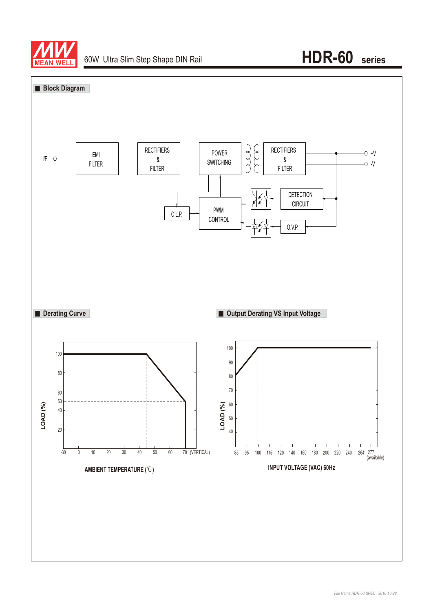

# 60W Ultra Slim Step Shape DIN Rail **HDR-60 series**